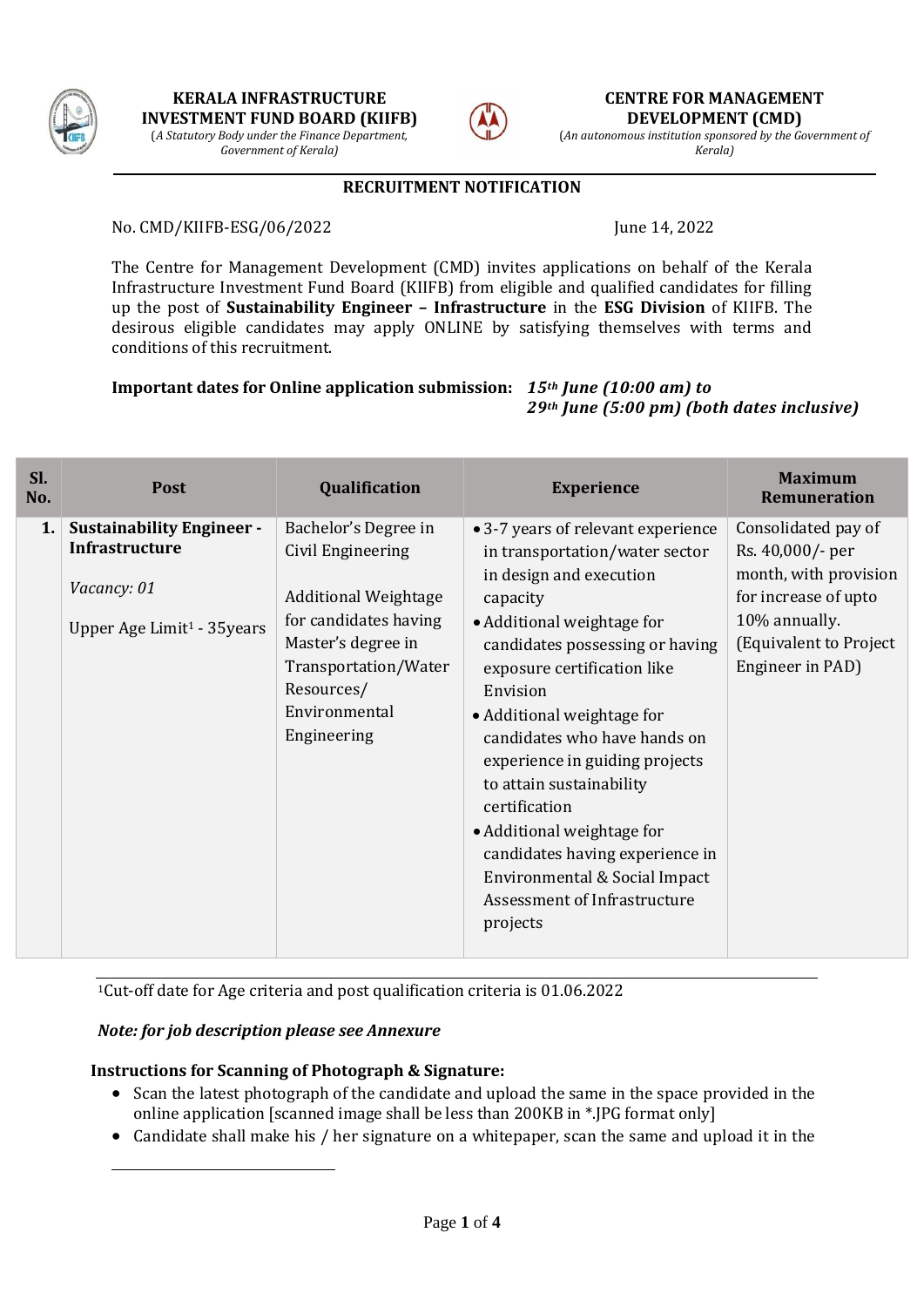

*Government of Kerala)*



**CENTRE FOR MANAGEMENT DEVELOPMENT (CMD)**

(*An autonomous institution sponsored by the Government of Kerala)*

### **RECRUITMENT NOTIFICATION**

No. CMD/KIIFB-ESG/06/2022 June 14, 2022

The Centre for Management Development (CMD) invites applications on behalf of the Kerala Infrastructure Investment Fund Board (KIIFB) from eligible and qualified candidates for filling up the post of **Sustainability Engineer – Infrastructure** in the **ESG Division** of KIIFB. The desirous eligible candidates may apply ONLINE by satisfying themselves with terms and conditions of this recruitment.

**Important dates for Online application submission:** *15th June (10:00 am) to* 

*29th June (5:00 pm) (both dates inclusive)*

| Sl.<br>No. | <b>Post</b>                                                                                                  | Qualification                                                                                                                                                                                 | <b>Experience</b>                                                                                                                                                                                                                                                                                                                                                                                                                                                                                                  | <b>Maximum</b><br><b>Remuneration</b>                                                                                                                   |
|------------|--------------------------------------------------------------------------------------------------------------|-----------------------------------------------------------------------------------------------------------------------------------------------------------------------------------------------|--------------------------------------------------------------------------------------------------------------------------------------------------------------------------------------------------------------------------------------------------------------------------------------------------------------------------------------------------------------------------------------------------------------------------------------------------------------------------------------------------------------------|---------------------------------------------------------------------------------------------------------------------------------------------------------|
| 1.         | <b>Sustainability Engineer -</b><br>Infrastructure<br>Vacancy: 01<br>Upper Age Limit <sup>1</sup> - 35 years | Bachelor's Degree in<br>Civil Engineering<br><b>Additional Weightage</b><br>for candidates having<br>Master's degree in<br>Transportation/Water<br>Resources/<br>Environmental<br>Engineering | • 3-7 years of relevant experience<br>in transportation/water sector<br>in design and execution<br>capacity<br>• Additional weightage for<br>candidates possessing or having<br>exposure certification like<br>Envision<br>• Additional weightage for<br>candidates who have hands on<br>experience in guiding projects<br>to attain sustainability<br>certification<br>• Additional weightage for<br>candidates having experience in<br>Environmental & Social Impact<br>Assessment of Infrastructure<br>projects | Consolidated pay of<br>Rs. 40,000/- per<br>month, with provision<br>for increase of upto<br>10% annually.<br>(Equivalent to Project<br>Engineer in PAD) |

<sup>1</sup>Cut-off date for Age criteria and post qualification criteria is 01.06.2022

#### *Note: for job description please see Annexure*

-

#### **Instructions for Scanning of Photograph & Signature:**

- Scan the latest photograph of the candidate and upload the same in the space provided in the online application [scanned image shall be less than 200KB in \*.JPG format only]
- Candidate shall make his / her signature on a whitepaper, scan the same and upload it in the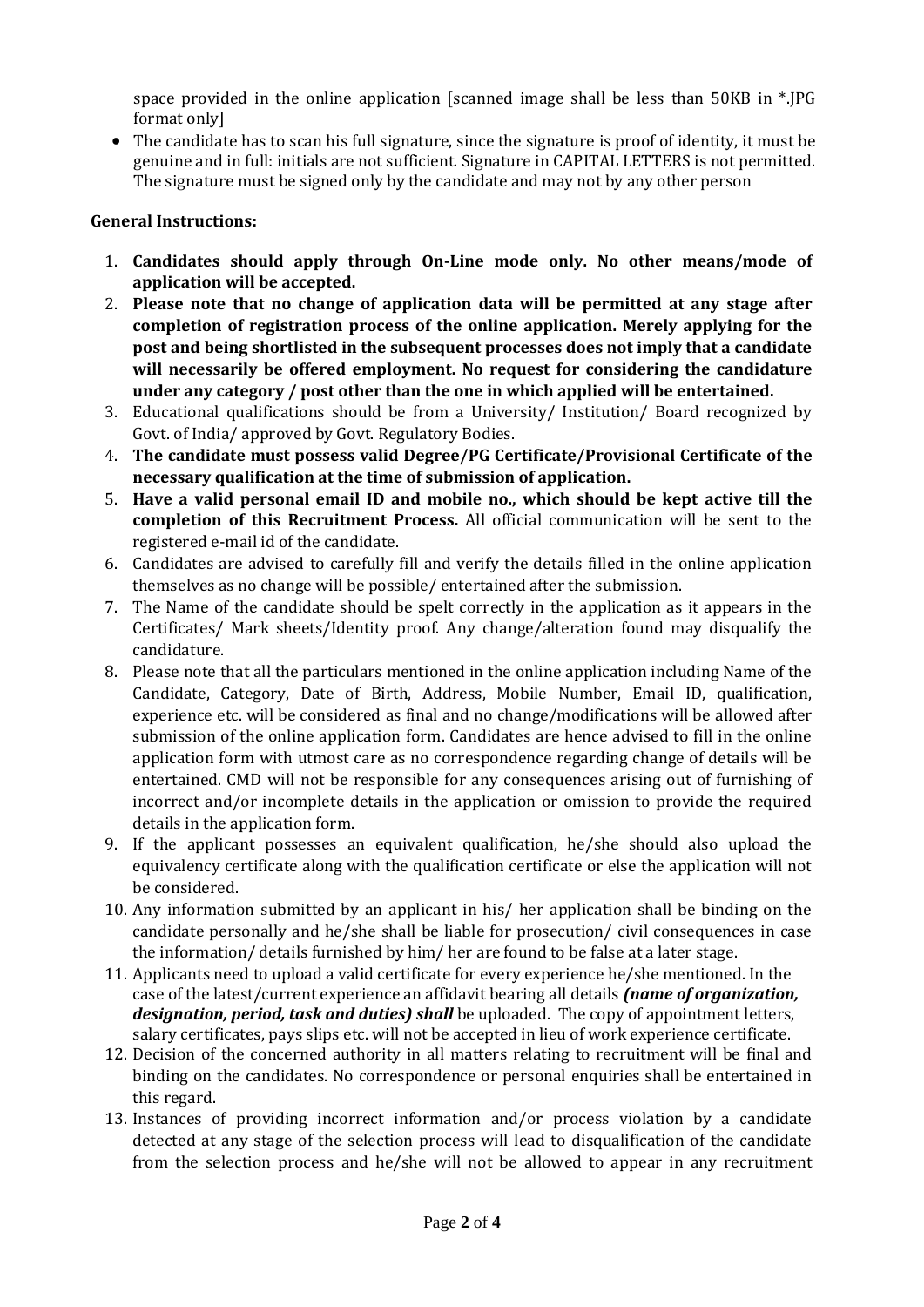space provided in the online application [scanned image shall be less than 50KB in \*.JPG format only]

 The candidate has to scan his full signature, since the signature is proof of identity, it must be genuine and in full: initials are not sufficient. Signature in CAPITAL LETTERS is not permitted. The signature must be signed only by the candidate and may not by any other person

## **General Instructions:**

- 1. **Candidates should apply through On-Line mode only. No other means/mode of application will be accepted.**
- 2. **Please note that no change of application data will be permitted at any stage after completion of registration process of the online application. Merely applying for the post and being shortlisted in the subsequent processes does not imply that a candidate will necessarily be offered employment. No request for considering the candidature under any category / post other than the one in which applied will be entertained.**
- 3. Educational qualifications should be from a University/ Institution/ Board recognized by Govt. of India/ approved by Govt. Regulatory Bodies.
- 4. **The candidate must possess valid Degree/PG Certificate/Provisional Certificate of the necessary qualification at the time of submission of application.**
- 5. **Have a valid personal email ID and mobile no., which should be kept active till the completion of this Recruitment Process.** All official communication will be sent to the registered e-mail id of the candidate.
- 6. Candidates are advised to carefully fill and verify the details filled in the online application themselves as no change will be possible/ entertained after the submission.
- 7. The Name of the candidate should be spelt correctly in the application as it appears in the Certificates/ Mark sheets/Identity proof. Any change/alteration found may disqualify the candidature.
- 8. Please note that all the particulars mentioned in the online application including Name of the Candidate, Category, Date of Birth, Address, Mobile Number, Email ID, qualification, experience etc. will be considered as final and no change/modifications will be allowed after submission of the online application form. Candidates are hence advised to fill in the online application form with utmost care as no correspondence regarding change of details will be entertained. CMD will not be responsible for any consequences arising out of furnishing of incorrect and/or incomplete details in the application or omission to provide the required details in the application form.
- 9. If the applicant possesses an equivalent qualification, he/she should also upload the equivalency certificate along with the qualification certificate or else the application will not be considered.
- 10. Any information submitted by an applicant in his/ her application shall be binding on the candidate personally and he/she shall be liable for prosecution/ civil consequences in case the information/ details furnished by him/ her are found to be false at a later stage.
- 11. Applicants need to upload a valid certificate for every experience he/she mentioned. In the case of the latest/current experience an affidavit bearing all details *(name of organization, designation, period, task and duties) shall* be uploaded. The copy of appointment letters, salary certificates, pays slips etc. will not be accepted in lieu of work experience certificate.
- 12. Decision of the concerned authority in all matters relating to recruitment will be final and binding on the candidates. No correspondence or personal enquiries shall be entertained in this regard.
- 13. Instances of providing incorrect information and/or process violation by a candidate detected at any stage of the selection process will lead to disqualification of the candidate from the selection process and he/she will not be allowed to appear in any recruitment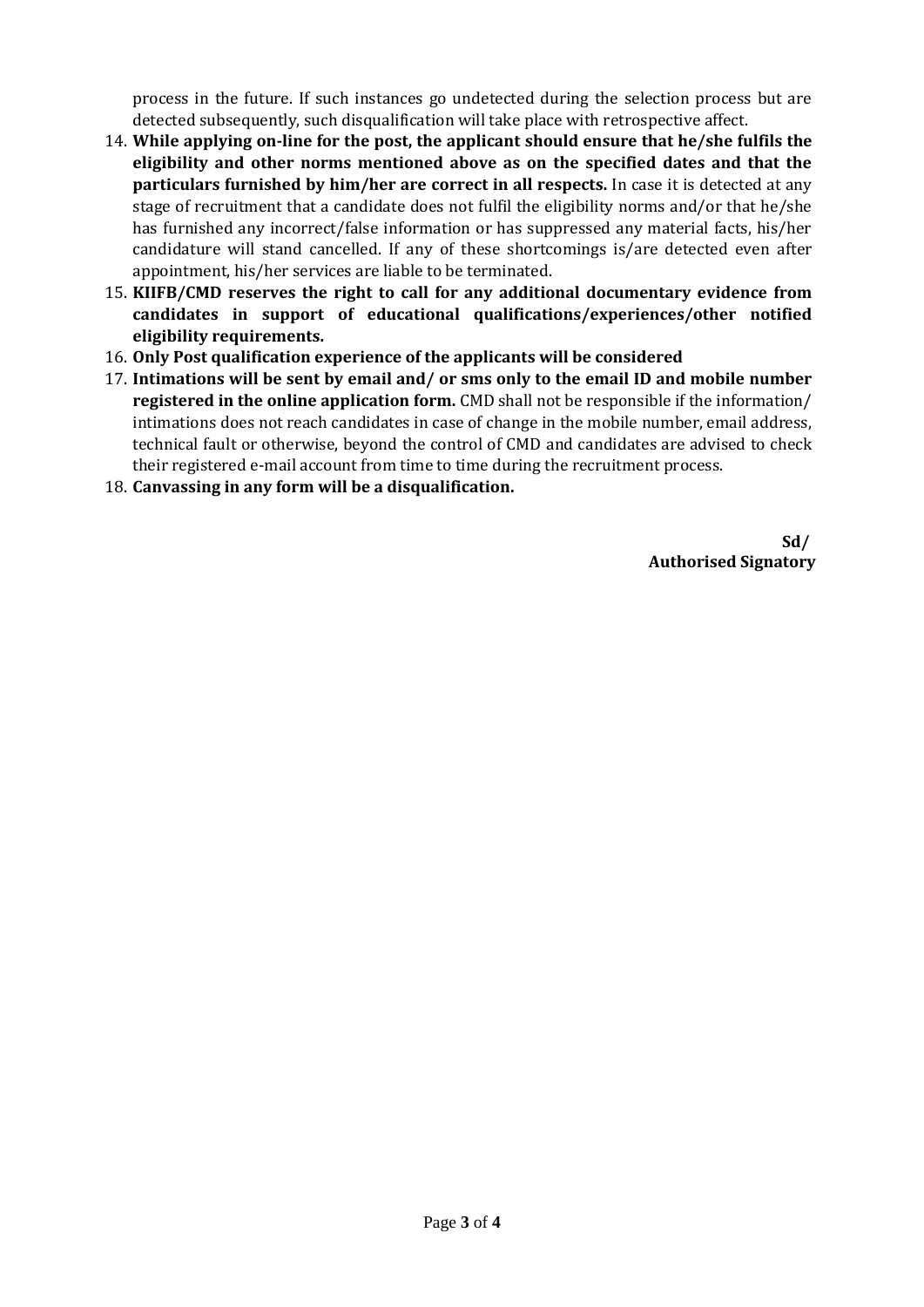process in the future. If such instances go undetected during the selection process but are detected subsequently, such disqualification will take place with retrospective affect.

- 14. **While applying on-line for the post, the applicant should ensure that he/she fulfils the eligibility and other norms mentioned above as on the specified dates and that the particulars furnished by him/her are correct in all respects.** In case it is detected at any stage of recruitment that a candidate does not fulfil the eligibility norms and/or that he/she has furnished any incorrect/false information or has suppressed any material facts, his/her candidature will stand cancelled. If any of these shortcomings is/are detected even after appointment, his/her services are liable to be terminated.
- 15. **KIIFB/CMD reserves the right to call for any additional documentary evidence from candidates in support of educational qualifications/experiences/other notified eligibility requirements.**
- 16. **Only Post qualification experience of the applicants will be considered**
- 17. **Intimations will be sent by email and/ or sms only to the email ID and mobile number registered in the online application form.** CMD shall not be responsible if the information/ intimations does not reach candidates in case of change in the mobile number, email address, technical fault or otherwise, beyond the control of CMD and candidates are advised to check their registered e-mail account from time to time during the recruitment process.
- 18. **Canvassing in any form will be a disqualification.**

**Sd/ Authorised Signatory**